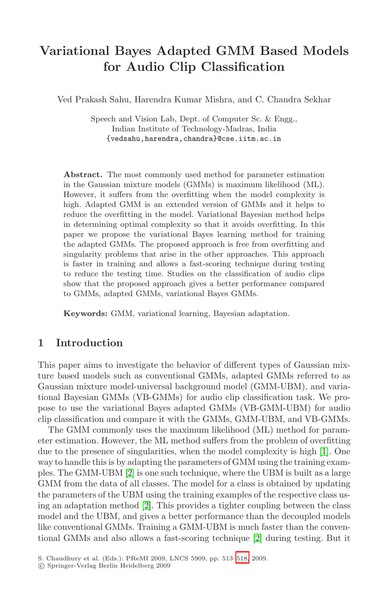# **Variational Bayes Adapted GMM Based Models for Audio Clip Classification**

Ved Prakash Sahu, Harendra Kumar Mishra, and C. Chandra Sekhar

Speech and Vision Lab, Dept. of Computer Sc. & Engg., Indian Institute of Technology-Madras, India {vedsahu,harendra,chandra}@cse.iitm.ac.in

**Abstract.** The most commonly used method for parameter estimation in the Gaussian mixture models (GMMs) is maximum likelihood (ML). However, it suffers from the overfitting when the model complexity is high. Adapted GMM is an extended version of GMMs and it helps to reduce the overfitting in the model. Variational Bayesian method helps in determining optimal complexity so that it avoids overfitting. In this paper we propose the variational Bayes learning method for training the adapted GMMs. The proposed approach is free from overfitting and singularity problems that arise in the other approaches. This approach is faster in training and allows a fast-scoring technique during testing to reduce the testing time. Studies on the classification of audio clips show that the proposed approach gives a better performance compared to GMMs, adapted GMMs, variational Bayes GMMs.

**Keywords:** GMM, variational learning, Bayesian adaptation.

# **1 Introduction**

This paper aims to investigate the behavior of differ[en](#page-5-0)t types of Gaussian mixture based models such as conventional GMMs, adapted GMMs referred to as Ga[uss](#page-5-1)ian mixture model-universal background model (GMM-UBM), and variational Bayesian GMMs (VB-GMMs) for audio clip classification task. We propose to use the variational Bayes adapted GMMs (VB-GMM-UBM) for audio clip clas[sifi](#page-5-1)cation and compare it with the GMMs, GMM-UBM, and VB-GMMs.

The GMM commonly uses the maximum likelihood (ML) method for parameter estimation. However, the ML method suffers from the problem of overfitting due to the presence of singularities, [w](#page-5-1)hen the model complexity is high [1]. One way to handle this is by adapting the parameters of GMM using the training examples. The GMM-UBM [2] is one [such](#page-5-2) technique, where the UBM is built as a large GMM from the data of all classes. The model for a class is obtained by updating the parameters of the UBM using the training examples of the respective class using an adaptation method [2]. This provides a tighter coupling between the class model and the UBM, and gives a better performance than the decoupled models like conventional GMMs. Training a GMM-UBM is much faster than the conventional GMMs and also allows a fast-scoring technique [2] during testing. But it

S. Chaudhury et al. (Eds.): PReMI 2009, LNCS 5909, pp. 513–518, 2009.

<sup>-</sup>c Springer-Verlag Berlin Heidelberg 2009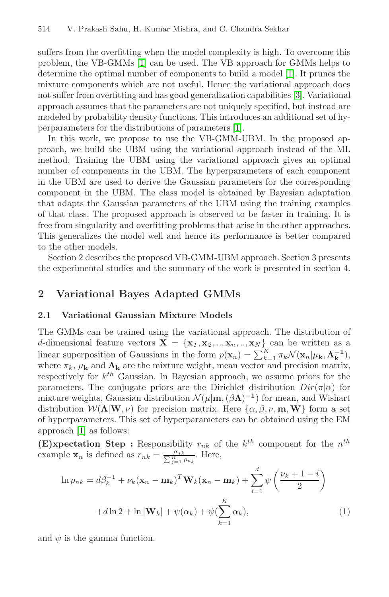#### 514 V. Prakash Sahu, H. Kumar Mishra, and C. Chandra Sekhar

suffers from the overfitting whe[n](#page-5-0) the model complexity is high. To overcome this problem, the VB-GMMs [1] can be used. The VB approach for GMMs helps to determine the optimal number of components to build a model [1]. It prunes the mixture components which are not useful. Hence the variational approach does not suffer from overfitting and has good generalization capabilities [3]. Variational approach assumes that the parameters are not uniquely specified, but instead are modeled by probability density functions. This introduces an additional set of hyperparameters for the distributions of parameters [1].

In this work, we propose to use the VB-GMM-UBM. In the proposed approach, we build the UBM using the variational approach instead of the ML method. Training the UBM using the variational approach gives an optimal number of components in the UBM. The hyperparameters of each component in the UBM are used to derive the Gaussian parameters for the corresponding component in the UBM. The class model is obtained by Bayesian adaptation that adapts the Gaussian parameters of the UBM using the training examples of that class. The proposed approach is observed to be faster in training. It is free from singularity and overfitting problems that arise in the other approaches. This generalizes the model well and hence its performance is better compared to the other models.

Section 2 describes the proposed VB-GMM-UBM approach. Section 3 presents the experimental studies and the summary of the work is presented in section 4.

# **2 Variational Bayes Adapted GMMs**

## **2.1 Variational Gaussian Mixture Models**

The GMMs can be trained using the variational approach. The distribution of d-dimensional feature vectors  $\mathbf{X} = {\mathbf{x}_1, \mathbf{x}_2, ..., \mathbf{x}_n, ..., \mathbf{x}_N}$  can be written as a linear superposition of Gaussians in the form  $p(\mathbf{x}_n) = \sum_{k=1}^{K} \pi_k \mathcal{N}(\mathbf{x}_n | \mu_k, \mathbf{\Lambda}_k^{-1}),$ where  $\pi_k$ ,  $\mu_k$  and  $\Lambda_k$  are the mixture weight, mean vector and precision matrix, respectively for  $k^{th}$  Gaussian. In Bayesian approach, we assume priors for the parameters. The conjugate priors are the Dirichlet distribution  $Dir(\pi|\alpha)$  for mixture weights, Gaussian distribution  $\mathcal{N}(\mu|\mathbf{m},(\beta\mathbf{\Lambda})^{-1})$  for mean, and Wishart distribution  $W(\mathbf{\Lambda}|\mathbf{W}, \nu)$  for precision matrix. Here  $\{\alpha, \beta, \nu, \mathbf{m}, \mathbf{W}\}\$  form a set of hyperparameters. This set of hyperparameters can be obtained using the EM approach [1] as follows:

**(E)xpectation Step :** Responsibility  $r_{nk}$  of the  $k^{th}$  component for the  $n^{th}$ example  $\mathbf{x}_n$  is defined as  $r_{nk} = \frac{\rho_{nk}}{\sum_{j=1}^K \rho_{nj}}$ . Here,

$$
\ln \rho_{nk} = d\beta_k^{-1} + \nu_k (\mathbf{x}_n - \mathbf{m}_k)^T \mathbf{W}_k (\mathbf{x}_n - \mathbf{m}_k) + \sum_{i=1}^d \psi \left( \frac{\nu_k + 1 - i}{2} \right)
$$

$$
+ d \ln 2 + \ln |\mathbf{W}_k| + \psi(\alpha_k) + \psi(\sum_{k=1}^K \alpha_k), \tag{1}
$$

and  $\psi$  is the gamma function.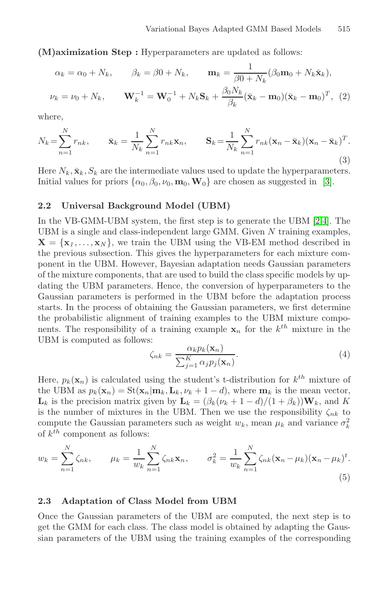**(M)aximization Step :** Hyperparameters are updated as follows:

$$
\alpha_k = \alpha_0 + N_k, \qquad \beta_k = \beta_0 + N_k, \qquad \mathbf{m}_k = \frac{1}{\beta_0 + N_k} (\beta_0 \mathbf{m}_0 + N_k \bar{\mathbf{x}}_k),
$$
  

$$
\nu_k = \nu_0 + N_k, \qquad \mathbf{W}_k^{-1} = \mathbf{W}_0^{-1} + N_k \mathbf{S}_k + \frac{\beta_0 N_k}{\beta_k} (\bar{\mathbf{x}}_k - \mathbf{m}_0) (\bar{\mathbf{x}}_k - \mathbf{m}_0)^T, \tag{2}
$$

where,

$$
N_k = \sum_{n=1}^{N} r_{nk}, \qquad \bar{\mathbf{x}}_k = \frac{1}{N_k} \sum_{n=1}^{N} r_{nk} \mathbf{x}_n, \qquad \mathbf{S}_k = \frac{1}{N_k} \sum_{n=1}^{N} r_{nk} (\mathbf{x}_n - \bar{\mathbf{x}}_k) (\mathbf{x}_n - \bar{\mathbf{x}}_k)^T.
$$
\n(3)

Here  $N_k$ ,  $\bar{\mathbf{x}}_k$ ,  $S_k$  are the intermediate values used to update the hyperparameters. Initial values for priors  $\{\alpha_0, \beta_0, \nu_0, \mathbf{m}_0, \mathbf{W}_0\}$  are chosen as suggested in [3].

## **2.2 Universal Background Model (UBM)**

In the VB-GMM-UBM system, the first step is to generate the UBM [2,4]. The UBM is a single and class-independent large GMM. Given N training examples,  $X = \{x_1, \ldots, x_N\}$ , we train the UBM using the VB-EM method described in the previous subsection. This gives the hyperparameters for each mixture component in the UBM. However, Bayesian adaptation needs Gaussian parameters of the mixture components, that are used to build the class specific models by updating the UBM parameters. Hence, the conversion of hyperparameters to the Gaussian parameters is performed in the UBM before the adaptation process starts. In the process of obtaining the Gaussian parameters, we first determine the probabilistic alignment of training examples to the UBM mixture components. The responsibility of a training example  $\mathbf{x}_n$  for the  $k^{th}$  mixture in the UBM is computed as follows:

$$
\zeta_{nk} = \frac{\alpha_k p_k(\mathbf{x}_n)}{\sum_{j=1}^K \alpha_j p_j(\mathbf{x}_n)}.
$$
\n(4)

Here,  $p_k(\mathbf{x}_n)$  is calculated using the student's t-distribution for  $k^{th}$  mixture of the UBM as  $p_k(\mathbf{x}_n) = \text{St}(\mathbf{x}_n | \mathbf{m}_k, \mathbf{L}_k, \nu_k + 1 - d)$ , where  $\mathbf{m}_k$  is the mean vector,  $\mathbf{L}_k$  is the precision matrix given by  $\mathbf{L}_k = (\beta_k(\nu_k + 1 - d)/(1 + \beta_k))\mathbf{W}_k$ , and K is the number of mixtures in the UBM. Then we use the responsibility  $\zeta_{nk}$  to compute the Gaussian parameters such as weight  $w_k$ , mean  $\mu_k$  and variance  $\sigma_k^2$ of  $k^{th}$  component as follows:

$$
w_k = \sum_{n=1}^{N} \zeta_{nk}, \qquad \mu_k = \frac{1}{w_k} \sum_{n=1}^{N} \zeta_{nk} \mathbf{x}_n, \qquad \sigma_k^2 = \frac{1}{w_k} \sum_{n=1}^{N} \zeta_{nk} (\mathbf{x}_n - \mu_k) (\mathbf{x}_n - \mu_k)^t.
$$
\n(5)

## **2.3 Adaptation of Class Model from UBM**

Once the Gaussian parameters of the UBM are computed, the next step is to get the GMM for each class. The class model is obtained by adapting the Gaussian parameters of the UBM using the training examples of the corresponding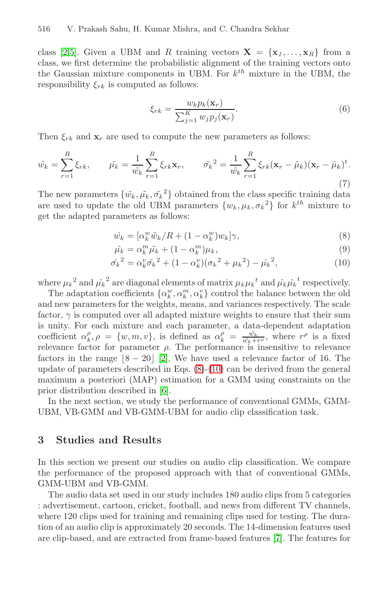#### 516 V. Prakash Sahu, H. Kumar Mishra, and C. Chandra Sekhar

class [2,5]. Given a UBM and R training vectors  $X = \{x_1, \ldots, x_R\}$  from a class, we first determine the probabilistic alignment of the training vectors onto the Gaussian mixture components in UBM. For  $k^{th}$  mixture in the UBM, the responsibility  $\xi_{rk}$  is computed as follows:

$$
\xi_{rk} = \frac{w_k p_k(\mathbf{x}_r)}{\sum_{j=1}^K w_j p_j(\mathbf{x}_r)}.\tag{6}
$$

Then  $\xi_{rk}$  and  $\mathbf{x}_r$  are used to compute the new parameters as follows:

<span id="page-3-0"></span>
$$
\tilde{w_k} = \sum_{r=1}^R \xi_{rk}, \qquad \tilde{\mu_k} = \frac{1}{\tilde{w_k}} \sum_{r=1}^R \xi_{rk} \mathbf{x}_r, \qquad \tilde{\sigma_k}^2 = \frac{1}{\tilde{w_k}} \sum_{r=1}^R \xi_{rk} (\mathbf{x}_r - \tilde{\mu}_k) (\mathbf{x}_r - \tilde{\mu}_k)^t.
$$
\n(7)

The new parameters  $\{\tilde{w_k}, \tilde{\mu_k}, \tilde{\sigma_k}^2\}$  obtained from the class specific training data are used to update the old UBM parameters  $\{w_k, \mu_k, \sigma_k^2\}$  for  $k^{th}$  mixture to get the adapted parameters as follows:

$$
\hat{w_k} = [\alpha_k^w \tilde{w}_k / R + (1 - \alpha_k^w) w_k] \gamma,
$$
\n(8)

$$
\hat{\mu_k} = \alpha_k^m \tilde{\mu_k} + (1 - \alpha_k^m)\mu_k,\tag{9}
$$

$$
\hat{\sigma_k}^2 = \alpha_k^v \tilde{\sigma_k}^2 + (1 - \alpha_k^v)(\sigma_k^2 + \mu_k^2) - \hat{\mu_k}^2, \tag{10}
$$

where  $\mu_k^2$  a[nd](#page-5-1)  $\hat{\mu_k}^2$  ar[e d](#page-3-0)i[ago](#page-3-0)nal elements of matrix  $\mu_k \mu_k^{\ t}$  and  $\hat{\mu_k} \hat{\mu_k}^t$  respectively.

The adaptation coefficients  $\{\alpha_k^w, \alpha_k^m, \alpha_k^v\}$  control the balance between the old and new par[am](#page-5-5)eters for the weights, means, and variances respectively. The scale factor,  $\gamma$  is computed over all adapted mixture weights to ensure that their sum is unity. For each mixture and each parameter, a data-dependent adaptation coefficient  $\alpha_k^{\rho}, \rho = \{w, m, v\}$ , is defined as  $\alpha_k^{\rho} = \frac{\tilde{w}_k}{\tilde{w}_k + r^{\rho}}$ , where  $r^{\rho}$  is a fixed relevance factor for parameter  $\rho$ . The performance is insensitive to relevance factors in the range  $\lfloor 8 - 20 \rfloor$  [2]. We have used a relevance factor of 16. The update of parameters described in Eqs. (8)-(10) can be derived from the general maximum a posteriori (MAP) estimation for a GMM using constraints on the prior distribution described in [6].

In the next section, we study the performance of conventional GMMs, GMM-UBM, VB-GMM and VB-GMM-UBM for audio clip classification task.

# **3 Studies and Results**

In this section we present our studies on [a](#page-5-6)udio clip classification. We compare the performance of the proposed approach with that of conventional GMMs, GMM-UBM and VB-GMM.

The audio data set used in our study includes 180 audio clips from 5 categories : advertisement, cartoon, cricket, football, and news from different TV channels, where 120 clips used for training and remaining clips used for testing. The duration of an audio clip is approximately 20 seconds. The 14-dimension features used are clip-based, and are extracted from frame-based features [7]. The features for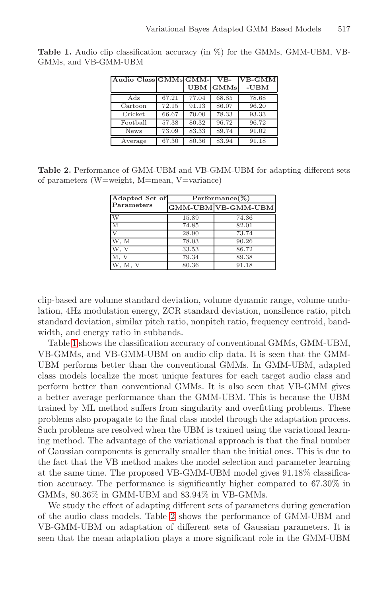| Audio Class GMMs GMM- |       |            | $VB-$       | <b>VB-GMM</b> |  |
|-----------------------|-------|------------|-------------|---------------|--|
|                       |       | <b>UBM</b> | <b>GMMs</b> | $-UBM$        |  |
| Ads                   | 67.21 | 77.04      | 68.85       | 78.68         |  |
| Cartoon               | 72.15 | 91.13      | 86.07       | 96.20         |  |
| Cricket               | 66.67 | 70.00      | 78.33       | 93.33         |  |
| Football              | 57.38 | 80.32      | 96.72       | 96.72         |  |
| <b>News</b>           | 73.09 | 83.33      | 89.74       | 91.02         |  |
| Average               | 67.30 | 80.36      | 83.94       | 91.18         |  |

<span id="page-4-0"></span>**Table 1.** Audio clip classification accuracy (in  $\%$ ) for the GMMs, GMM-UBM, VB-GMMs, and VB-GMM-UBM

**Table 2.** Performance of GMM-UBM and VB-GMM-UBM for adapting different sets of parameters (W=weight, M=mean, V=variance)

| Adapted Set of | $Performance (\%)$ |                    |  |  |
|----------------|--------------------|--------------------|--|--|
| Parameters     |                    | GMM-UBM VB-GMM-UBM |  |  |
| W              | 15.89              | 74.36              |  |  |
| M              | 74.85              | 82.01              |  |  |
| $\overline{V}$ | 28.90              | 73.74              |  |  |
| W, M           | 78.03              | 90.26              |  |  |
| W.             | 33.53              | 86.72              |  |  |
| M.             | 79.34              | 89.38              |  |  |
|                | 80.36              | 91.18              |  |  |

clip-based are volume standard deviation, volume dynamic range, volume undulation, 4Hz modulation energy, ZCR standard deviation, nonsilence ratio, pitch standard deviation, similar pitch ratio, nonpitch ratio, frequency centroid, bandwidth, and energy ratio in subbands.

Table 1 shows the classification accuracy of conventional GMMs, GMM-UBM, VB-GMMs, and VB-GMM-UBM on audio clip data. It is seen that the GMM-UBM performs better than the conventional GMMs. In GMM-UBM, adapted class models localize the most unique features for each target audio class and perform better than conventional GMMs. It is also seen that VB-GMM gives a better average performance than the GMM-UBM. This is because the UBM trained by ML method suffers from singularity and overfitting problems. These problems also propagate to the final class model through the adaptation process. Such problems [ar](#page-4-0)e resolved when the UBM is trained using the variational learning method. The advantage of the variational approach is that the final number of Gaussian components is generally smaller than the initial ones. This is due to the fact that the VB method makes the model selection and parameter learning at the same time. The proposed VB-GMM-UBM model gives 91.18% classification accuracy. The performance is significantly higher compared to 67.30% in GMMs, 80.36% in GMM-UBM and 83.94% in VB-GMMs.

We study the effect of adapting different sets of parameters during generation of the audio class models. Table 2 shows the performance of GMM-UBM and VB-GMM-UBM on adaptation of different sets of Gaussian parameters. It is seen that the mean adaptation plays a more significant role in the GMM-UBM